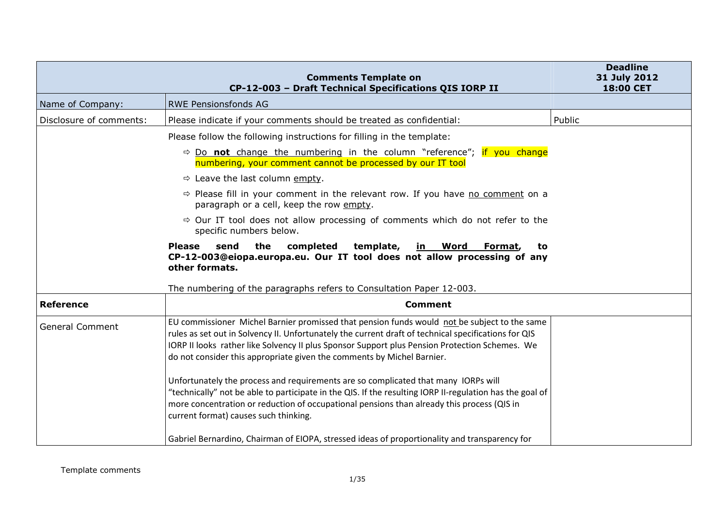|                         | <b>Comments Template on</b><br>CP-12-003 - Draft Technical Specifications QIS IORP II                                                                                                                                                                                                                                                                                                                                                                                                                                                                                                                                                                                                                                     | <b>Deadline</b><br>31 July 2012<br>18:00 CET |
|-------------------------|---------------------------------------------------------------------------------------------------------------------------------------------------------------------------------------------------------------------------------------------------------------------------------------------------------------------------------------------------------------------------------------------------------------------------------------------------------------------------------------------------------------------------------------------------------------------------------------------------------------------------------------------------------------------------------------------------------------------------|----------------------------------------------|
| Name of Company:        | <b>RWE Pensionsfonds AG</b>                                                                                                                                                                                                                                                                                                                                                                                                                                                                                                                                                                                                                                                                                               |                                              |
| Disclosure of comments: | Please indicate if your comments should be treated as confidential:                                                                                                                                                                                                                                                                                                                                                                                                                                                                                                                                                                                                                                                       | Public                                       |
|                         | Please follow the following instructions for filling in the template:                                                                                                                                                                                                                                                                                                                                                                                                                                                                                                                                                                                                                                                     |                                              |
|                         | $\Rightarrow$ Do not change the numbering in the column "reference"; if you change<br>numbering, your comment cannot be processed by our IT tool                                                                                                                                                                                                                                                                                                                                                                                                                                                                                                                                                                          |                                              |
|                         | $\Rightarrow$ Leave the last column empty.                                                                                                                                                                                                                                                                                                                                                                                                                                                                                                                                                                                                                                                                                |                                              |
|                         | $\Rightarrow$ Please fill in your comment in the relevant row. If you have no comment on a<br>paragraph or a cell, keep the row empty.                                                                                                                                                                                                                                                                                                                                                                                                                                                                                                                                                                                    |                                              |
|                         | $\Rightarrow$ Our IT tool does not allow processing of comments which do not refer to the<br>specific numbers below.                                                                                                                                                                                                                                                                                                                                                                                                                                                                                                                                                                                                      |                                              |
|                         | the<br><b>Please</b><br>send<br>completed<br>template,<br>Word<br>in l<br>Format,<br>to<br>CP-12-003@eiopa.europa.eu. Our IT tool does not allow processing of any<br>other formats.<br>The numbering of the paragraphs refers to Consultation Paper 12-003.                                                                                                                                                                                                                                                                                                                                                                                                                                                              |                                              |
| <b>Reference</b>        | <b>Comment</b>                                                                                                                                                                                                                                                                                                                                                                                                                                                                                                                                                                                                                                                                                                            |                                              |
| <b>General Comment</b>  | EU commissioner Michel Barnier promissed that pension funds would not be subject to the same<br>rules as set out in Solvency II. Unfortunately the current draft of technical specifications for QIS<br>IORP II looks rather like Solvency II plus Sponsor Support plus Pension Protection Schemes. We<br>do not consider this appropriate given the comments by Michel Barnier.<br>Unfortunately the process and requirements are so complicated that many IORPs will<br>"technically" not be able to participate in the QIS. If the resulting IORP II-regulation has the goal of<br>more concentration or reduction of occupational pensions than already this process (QIS in<br>current format) causes such thinking. |                                              |
|                         | Gabriel Bernardino, Chairman of EIOPA, stressed ideas of proportionality and transparency for                                                                                                                                                                                                                                                                                                                                                                                                                                                                                                                                                                                                                             |                                              |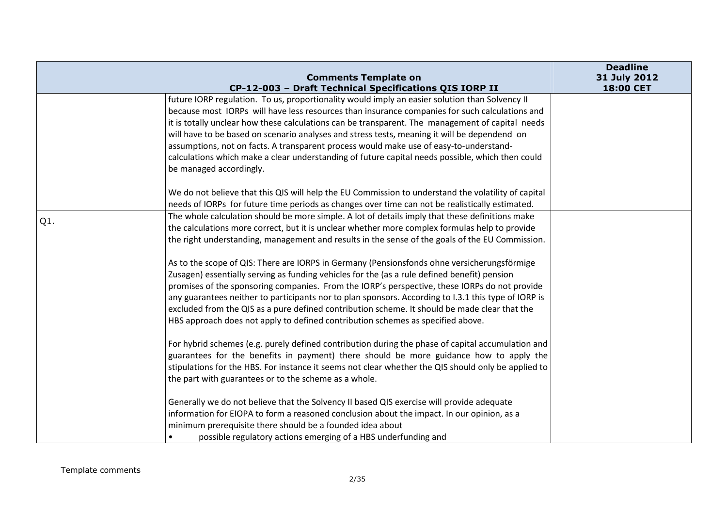|     | <b>Comments Template on</b>                                                                          | <b>Deadline</b><br>31 July 2012 |
|-----|------------------------------------------------------------------------------------------------------|---------------------------------|
|     | CP-12-003 - Draft Technical Specifications QIS IORP II                                               | 18:00 CET                       |
|     | future IORP regulation. To us, proportionality would imply an easier solution than Solvency II       |                                 |
|     | because most IORPs will have less resources than insurance companies for such calculations and       |                                 |
|     | it is totally unclear how these calculations can be transparent. The management of capital needs     |                                 |
|     | will have to be based on scenario analyses and stress tests, meaning it will be dependend on         |                                 |
|     | assumptions, not on facts. A transparent process would make use of easy-to-understand-               |                                 |
|     | calculations which make a clear understanding of future capital needs possible, which then could     |                                 |
|     | be managed accordingly.                                                                              |                                 |
|     | We do not believe that this QIS will help the EU Commission to understand the volatility of capital  |                                 |
|     | needs of IORPs for future time periods as changes over time can not be realistically estimated.      |                                 |
|     | The whole calculation should be more simple. A lot of details imply that these definitions make      |                                 |
| Q1. | the calculations more correct, but it is unclear whether more complex formulas help to provide       |                                 |
|     | the right understanding, management and results in the sense of the goals of the EU Commission.      |                                 |
|     | As to the scope of QIS: There are IORPS in Germany (Pensionsfonds ohne versicherungsförmige          |                                 |
|     | Zusagen) essentially serving as funding vehicles for the (as a rule defined benefit) pension         |                                 |
|     | promises of the sponsoring companies. From the IORP's perspective, these IORPs do not provide        |                                 |
|     | any guarantees neither to participants nor to plan sponsors. According to 1.3.1 this type of IORP is |                                 |
|     | excluded from the QIS as a pure defined contribution scheme. It should be made clear that the        |                                 |
|     | HBS approach does not apply to defined contribution schemes as specified above.                      |                                 |
|     | For hybrid schemes (e.g. purely defined contribution during the phase of capital accumulation and    |                                 |
|     | guarantees for the benefits in payment) there should be more guidance how to apply the               |                                 |
|     | stipulations for the HBS. For instance it seems not clear whether the QIS should only be applied to  |                                 |
|     | the part with guarantees or to the scheme as a whole.                                                |                                 |
|     |                                                                                                      |                                 |
|     | Generally we do not believe that the Solvency II based QIS exercise will provide adequate            |                                 |
|     | information for EIOPA to form a reasoned conclusion about the impact. In our opinion, as a           |                                 |
|     | minimum prerequisite there should be a founded idea about                                            |                                 |
|     | possible regulatory actions emerging of a HBS underfunding and<br>$\bullet$                          |                                 |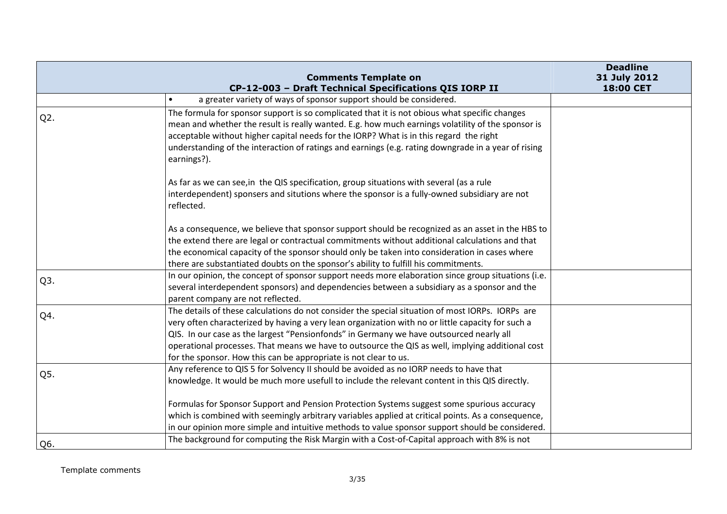|                  | <b>Comments Template on</b>                                                                                                                                                                                                                                                                                                                                                                                                                                              | <b>Deadline</b><br>31 July 2012 |
|------------------|--------------------------------------------------------------------------------------------------------------------------------------------------------------------------------------------------------------------------------------------------------------------------------------------------------------------------------------------------------------------------------------------------------------------------------------------------------------------------|---------------------------------|
|                  | CP-12-003 - Draft Technical Specifications QIS IORP II                                                                                                                                                                                                                                                                                                                                                                                                                   | 18:00 CET                       |
|                  | a greater variety of ways of sponsor support should be considered.<br>$\bullet$                                                                                                                                                                                                                                                                                                                                                                                          |                                 |
| $Q2$ .           | The formula for sponsor support is so complicated that it is not obious what specific changes<br>mean and whether the result is really wanted. E.g. how much earnings volatility of the sponsor is<br>acceptable without higher capital needs for the IORP? What is in this regard the right<br>understanding of the interaction of ratings and earnings (e.g. rating downgrade in a year of rising<br>earnings?).                                                       |                                 |
|                  | As far as we can see, in the QIS specification, group situations with several (as a rule<br>interdependent) sponsers and situtions where the sponsor is a fully-owned subsidiary are not<br>reflected.                                                                                                                                                                                                                                                                   |                                 |
|                  | As a consequence, we believe that sponsor support should be recognized as an asset in the HBS to<br>the extend there are legal or contractual commitments without additional calculations and that<br>the economical capacity of the sponsor should only be taken into consideration in cases where<br>there are substantiated doubts on the sponsor's ability to fulfill his commitments.                                                                               |                                 |
| Q <sub>3</sub> . | In our opinion, the concept of sponsor support needs more elaboration since group situations (i.e.<br>several interdependent sponsors) and dependencies between a subsidiary as a sponsor and the<br>parent company are not reflected.                                                                                                                                                                                                                                   |                                 |
| Q4.              | The details of these calculations do not consider the special situation of most IORPs. IORPs are<br>very often characterized by having a very lean organization with no or little capacity for such a<br>QIS. In our case as the largest "Pensionfonds" in Germany we have outsourced nearly all<br>operational processes. That means we have to outsource the QIS as well, implying additional cost<br>for the sponsor. How this can be appropriate is not clear to us. |                                 |
| Q5.              | Any reference to QIS 5 for Solvency II should be avoided as no IORP needs to have that<br>knowledge. It would be much more usefull to include the relevant content in this QIS directly.                                                                                                                                                                                                                                                                                 |                                 |
|                  | Formulas for Sponsor Support and Pension Protection Systems suggest some spurious accuracy<br>which is combined with seemingly arbitrary variables applied at critical points. As a consequence,<br>in our opinion more simple and intuitive methods to value sponsor support should be considered.                                                                                                                                                                      |                                 |
| Q6.              | The background for computing the Risk Margin with a Cost-of-Capital approach with 8% is not                                                                                                                                                                                                                                                                                                                                                                              |                                 |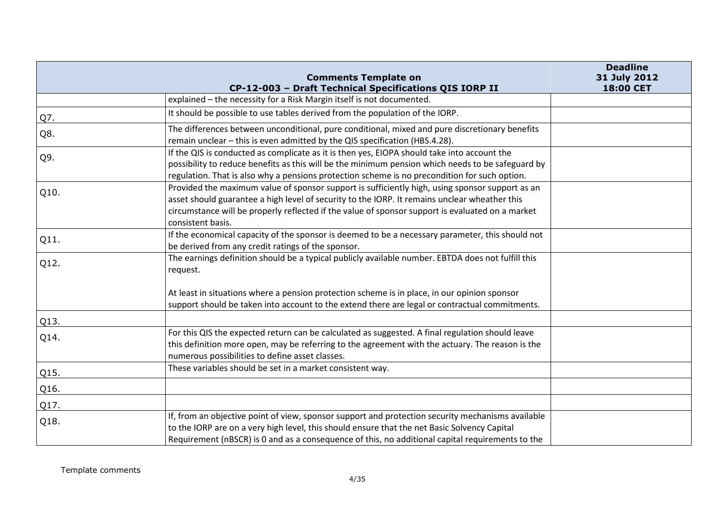|      | <b>Comments Template on</b><br>CP-12-003 - Draft Technical Specifications QIS IORP II                                                                                                                                                                                                                                     | <b>Deadline</b><br>31 July 2012<br>18:00 CET |
|------|---------------------------------------------------------------------------------------------------------------------------------------------------------------------------------------------------------------------------------------------------------------------------------------------------------------------------|----------------------------------------------|
|      | explained - the necessity for a Risk Margin itself is not documented.                                                                                                                                                                                                                                                     |                                              |
| Q7.  | It should be possible to use tables derived from the population of the IORP.                                                                                                                                                                                                                                              |                                              |
| Q8.  | The differences between unconditional, pure conditional, mixed and pure discretionary benefits<br>remain unclear - this is even admitted by the QIS specification (HBS.4.28).                                                                                                                                             |                                              |
| Q9.  | If the QIS is conducted as complicate as it is then yes, EIOPA should take into account the<br>possibility to reduce benefits as this will be the minimum pension which needs to be safeguard by<br>regulation. That is also why a pensions protection scheme is no precondition for such option.                         |                                              |
| Q10. | Provided the maximum value of sponsor support is sufficiently high, using sponsor support as an<br>asset should guarantee a high level of security to the IORP. It remains unclear wheather this<br>circumstance will be properly reflected if the value of sponsor support is evaluated on a market<br>consistent basis. |                                              |
| Q11. | If the economical capacity of the sponsor is deemed to be a necessary parameter, this should not<br>be derived from any credit ratings of the sponsor.                                                                                                                                                                    |                                              |
| Q12. | The earnings definition should be a typical publicly available number. EBTDA does not fulfill this<br>request.                                                                                                                                                                                                            |                                              |
|      | At least in situations where a pension protection scheme is in place, in our opinion sponsor<br>support should be taken into account to the extend there are legal or contractual commitments.                                                                                                                            |                                              |
| Q13. |                                                                                                                                                                                                                                                                                                                           |                                              |
| Q14. | For this QIS the expected return can be calculated as suggested. A final regulation should leave<br>this definition more open, may be referring to the agreement with the actuary. The reason is the<br>numerous possibilities to define asset classes.                                                                   |                                              |
| Q15. | These variables should be set in a market consistent way.                                                                                                                                                                                                                                                                 |                                              |
| Q16. |                                                                                                                                                                                                                                                                                                                           |                                              |
| Q17. |                                                                                                                                                                                                                                                                                                                           |                                              |
| Q18. | If, from an objective point of view, sponsor support and protection security mechanisms available<br>to the IORP are on a very high level, this should ensure that the net Basic Solvency Capital<br>Requirement (nBSCR) is 0 and as a consequence of this, no additional capital requirements to the                     |                                              |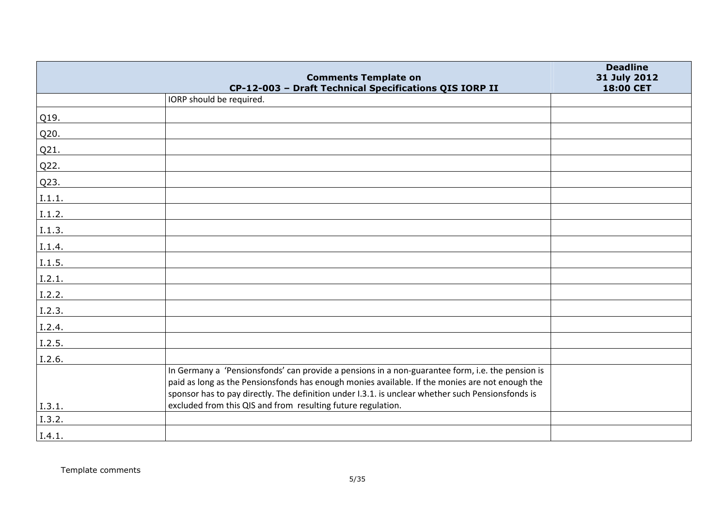|        | <b>Comments Template on</b>                                                                                                                                                                                                                                                                              | <b>Deadline</b><br>31 July 2012 |
|--------|----------------------------------------------------------------------------------------------------------------------------------------------------------------------------------------------------------------------------------------------------------------------------------------------------------|---------------------------------|
|        | CP-12-003 - Draft Technical Specifications QIS IORP II                                                                                                                                                                                                                                                   | 18:00 CET                       |
|        | IORP should be required.                                                                                                                                                                                                                                                                                 |                                 |
| Q19.   |                                                                                                                                                                                                                                                                                                          |                                 |
| Q20.   |                                                                                                                                                                                                                                                                                                          |                                 |
| Q21.   |                                                                                                                                                                                                                                                                                                          |                                 |
| Q22.   |                                                                                                                                                                                                                                                                                                          |                                 |
| Q23.   |                                                                                                                                                                                                                                                                                                          |                                 |
| I.1.1. |                                                                                                                                                                                                                                                                                                          |                                 |
| I.1.2. |                                                                                                                                                                                                                                                                                                          |                                 |
| I.1.3. |                                                                                                                                                                                                                                                                                                          |                                 |
| I.1.4. |                                                                                                                                                                                                                                                                                                          |                                 |
| I.1.5. |                                                                                                                                                                                                                                                                                                          |                                 |
| I.2.1. |                                                                                                                                                                                                                                                                                                          |                                 |
| I.2.2. |                                                                                                                                                                                                                                                                                                          |                                 |
| I.2.3. |                                                                                                                                                                                                                                                                                                          |                                 |
| I.2.4. |                                                                                                                                                                                                                                                                                                          |                                 |
| I.2.5. |                                                                                                                                                                                                                                                                                                          |                                 |
| I.2.6. |                                                                                                                                                                                                                                                                                                          |                                 |
|        | In Germany a 'Pensionsfonds' can provide a pensions in a non-guarantee form, i.e. the pension is<br>paid as long as the Pensionsfonds has enough monies available. If the monies are not enough the<br>sponsor has to pay directly. The definition under I.3.1. is unclear whether such Pensionsfonds is |                                 |
| I.3.1. | excluded from this QIS and from resulting future regulation.                                                                                                                                                                                                                                             |                                 |
| I.3.2. |                                                                                                                                                                                                                                                                                                          |                                 |
| I.4.1. |                                                                                                                                                                                                                                                                                                          |                                 |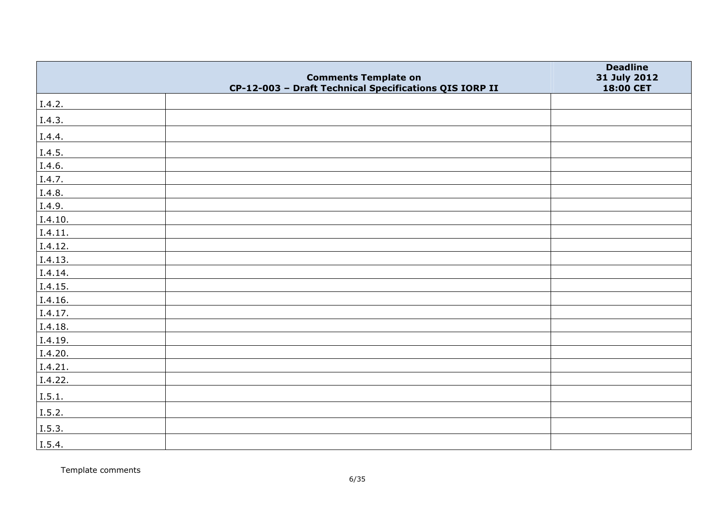|         | <b>Comments Template on</b>                            | <b>Deadline</b><br>31 July 2012 |
|---------|--------------------------------------------------------|---------------------------------|
|         | CP-12-003 - Draft Technical Specifications QIS IORP II | 18:00 CET                       |
| I.4.2.  |                                                        |                                 |
| I.4.3.  |                                                        |                                 |
| I.4.4.  |                                                        |                                 |
| I.4.5.  |                                                        |                                 |
| I.4.6.  |                                                        |                                 |
| I.4.7.  |                                                        |                                 |
| I.4.8.  |                                                        |                                 |
| I.4.9.  |                                                        |                                 |
| I.4.10. |                                                        |                                 |
| I.4.11. |                                                        |                                 |
| I.4.12. |                                                        |                                 |
| I.4.13. |                                                        |                                 |
| I.4.14. |                                                        |                                 |
| I.4.15. |                                                        |                                 |
| 1.4.16. |                                                        |                                 |
| I.4.17. |                                                        |                                 |
| I.4.18. |                                                        |                                 |
| I.4.19. |                                                        |                                 |
| I.4.20. |                                                        |                                 |
| I.4.21. |                                                        |                                 |
| I.4.22. |                                                        |                                 |
| I.5.1.  |                                                        |                                 |
| I.5.2.  |                                                        |                                 |
| I.5.3.  |                                                        |                                 |
| I.5.4.  |                                                        |                                 |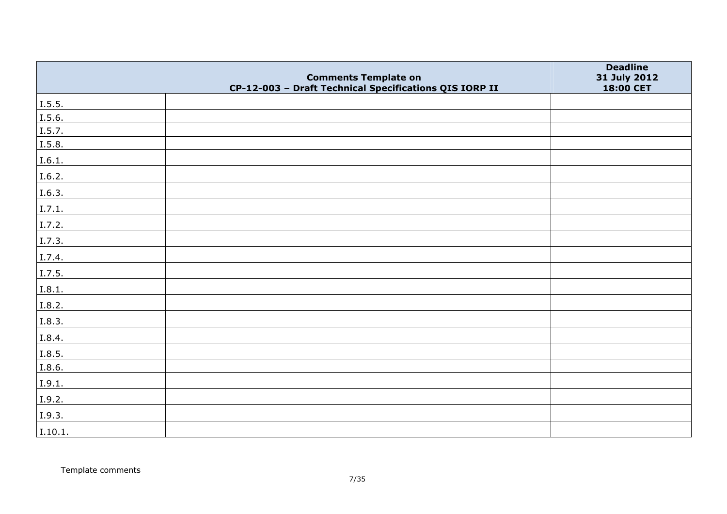|         | <b>Comments Template on</b>                            | <b>Deadline</b><br>31 July 2012 |
|---------|--------------------------------------------------------|---------------------------------|
|         | CP-12-003 - Draft Technical Specifications QIS IORP II | 18:00 CET                       |
| I.5.5.  |                                                        |                                 |
| I.5.6.  |                                                        |                                 |
| I.5.7.  |                                                        |                                 |
| I.5.8.  |                                                        |                                 |
| I.6.1.  |                                                        |                                 |
| I.6.2.  |                                                        |                                 |
| I.6.3.  |                                                        |                                 |
| I.7.1.  |                                                        |                                 |
| I.7.2.  |                                                        |                                 |
| I.7.3.  |                                                        |                                 |
| I.7.4.  |                                                        |                                 |
| I.7.5.  |                                                        |                                 |
| I.8.1.  |                                                        |                                 |
| I.8.2.  |                                                        |                                 |
| I.8.3.  |                                                        |                                 |
| I.8.4.  |                                                        |                                 |
| I.8.5.  |                                                        |                                 |
| I.8.6.  |                                                        |                                 |
| I.9.1.  |                                                        |                                 |
| I.9.2.  |                                                        |                                 |
| I.9.3.  |                                                        |                                 |
| I.10.1. |                                                        |                                 |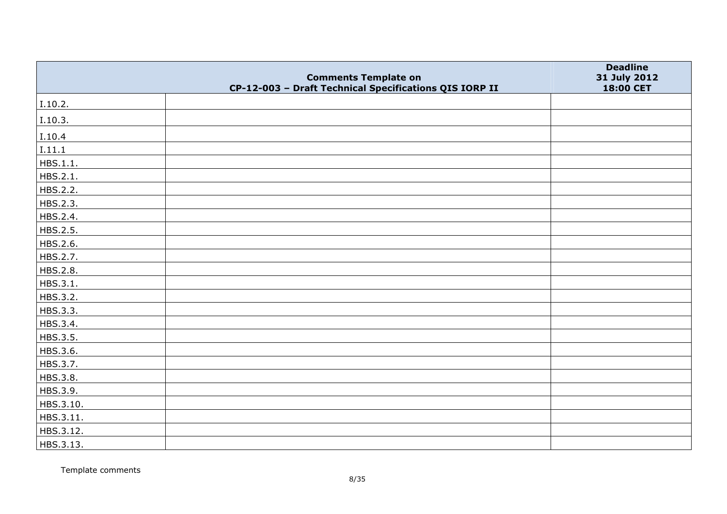|           | <b>Comments Template on</b>                            | <b>Deadline</b><br>31 July 2012 |
|-----------|--------------------------------------------------------|---------------------------------|
|           | CP-12-003 - Draft Technical Specifications QIS IORP II | 18:00 CET                       |
| I.10.2.   |                                                        |                                 |
| I.10.3.   |                                                        |                                 |
| I.10.4    |                                                        |                                 |
| I.11.1    |                                                        |                                 |
| HBS.1.1.  |                                                        |                                 |
| HBS.2.1.  |                                                        |                                 |
| HBS.2.2.  |                                                        |                                 |
| HBS.2.3.  |                                                        |                                 |
| HBS.2.4.  |                                                        |                                 |
| HBS.2.5.  |                                                        |                                 |
| HBS.2.6.  |                                                        |                                 |
| HBS.2.7.  |                                                        |                                 |
| HBS.2.8.  |                                                        |                                 |
| HBS.3.1.  |                                                        |                                 |
| HBS.3.2.  |                                                        |                                 |
| HBS.3.3.  |                                                        |                                 |
| HBS.3.4.  |                                                        |                                 |
| HBS.3.5.  |                                                        |                                 |
| HBS.3.6.  |                                                        |                                 |
| HBS.3.7.  |                                                        |                                 |
| HBS.3.8.  |                                                        |                                 |
| HBS.3.9.  |                                                        |                                 |
| HBS.3.10. |                                                        |                                 |
| HBS.3.11. |                                                        |                                 |
| HBS.3.12. |                                                        |                                 |
| HBS.3.13. |                                                        |                                 |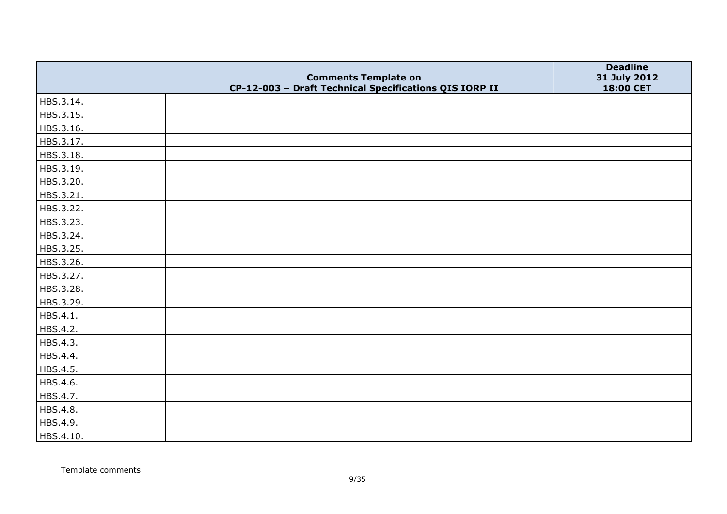|           | <b>Comments Template on</b>                            | <b>Deadline</b><br>31 July 2012 |
|-----------|--------------------------------------------------------|---------------------------------|
|           | CP-12-003 - Draft Technical Specifications QIS IORP II | 18:00 CET                       |
| HBS.3.14. |                                                        |                                 |
| HBS.3.15. |                                                        |                                 |
| HBS.3.16. |                                                        |                                 |
| HBS.3.17. |                                                        |                                 |
| HBS.3.18. |                                                        |                                 |
| HBS.3.19. |                                                        |                                 |
| HBS.3.20. |                                                        |                                 |
| HBS.3.21. |                                                        |                                 |
| HBS.3.22. |                                                        |                                 |
| HBS.3.23. |                                                        |                                 |
| HBS.3.24. |                                                        |                                 |
| HBS.3.25. |                                                        |                                 |
| HBS.3.26. |                                                        |                                 |
| HBS.3.27. |                                                        |                                 |
| HBS.3.28. |                                                        |                                 |
| HBS.3.29. |                                                        |                                 |
| HBS.4.1.  |                                                        |                                 |
| HBS.4.2.  |                                                        |                                 |
| HBS.4.3.  |                                                        |                                 |
| HBS.4.4.  |                                                        |                                 |
| HBS.4.5.  |                                                        |                                 |
| HBS.4.6.  |                                                        |                                 |
| HBS.4.7.  |                                                        |                                 |
| HBS.4.8.  |                                                        |                                 |
| HBS.4.9.  |                                                        |                                 |
| HBS.4.10. |                                                        |                                 |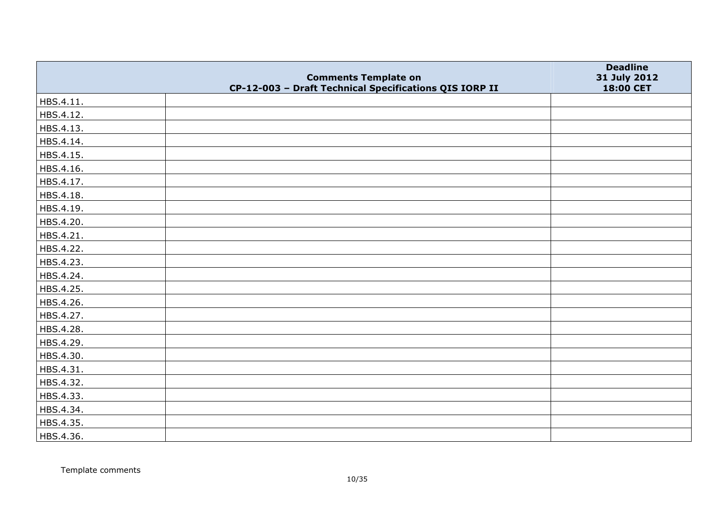|           | <b>Comments Template on</b>                            | <b>Deadline</b><br>31 July 2012 |
|-----------|--------------------------------------------------------|---------------------------------|
|           | CP-12-003 - Draft Technical Specifications QIS IORP II | 18:00 CET                       |
| HBS.4.11. |                                                        |                                 |
| HBS.4.12. |                                                        |                                 |
| HBS.4.13. |                                                        |                                 |
| HBS.4.14. |                                                        |                                 |
| HBS.4.15. |                                                        |                                 |
| HBS.4.16. |                                                        |                                 |
| HBS.4.17. |                                                        |                                 |
| HBS.4.18. |                                                        |                                 |
| HBS.4.19. |                                                        |                                 |
| HBS.4.20. |                                                        |                                 |
| HBS.4.21. |                                                        |                                 |
| HBS.4.22. |                                                        |                                 |
| HBS.4.23. |                                                        |                                 |
| HBS.4.24. |                                                        |                                 |
| HBS.4.25. |                                                        |                                 |
| HBS.4.26. |                                                        |                                 |
| HBS.4.27. |                                                        |                                 |
| HBS.4.28. |                                                        |                                 |
| HBS.4.29. |                                                        |                                 |
| HBS.4.30. |                                                        |                                 |
| HBS.4.31. |                                                        |                                 |
| HBS.4.32. |                                                        |                                 |
| HBS.4.33. |                                                        |                                 |
| HBS.4.34. |                                                        |                                 |
| HBS.4.35. |                                                        |                                 |
| HBS.4.36. |                                                        |                                 |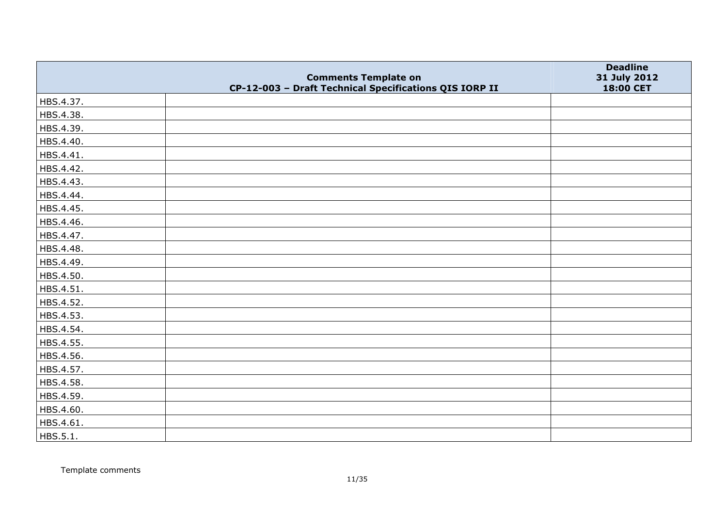|           | <b>Comments Template on</b>                            | <b>Deadline</b><br>31 July 2012 |
|-----------|--------------------------------------------------------|---------------------------------|
|           | CP-12-003 - Draft Technical Specifications QIS IORP II | 18:00 CET                       |
| HBS.4.37. |                                                        |                                 |
| HBS.4.38. |                                                        |                                 |
| HBS.4.39. |                                                        |                                 |
| HBS.4.40. |                                                        |                                 |
| HBS.4.41. |                                                        |                                 |
| HBS.4.42. |                                                        |                                 |
| HBS.4.43. |                                                        |                                 |
| HBS.4.44. |                                                        |                                 |
| HBS.4.45. |                                                        |                                 |
| HBS.4.46. |                                                        |                                 |
| HBS.4.47. |                                                        |                                 |
| HBS.4.48. |                                                        |                                 |
| HBS.4.49. |                                                        |                                 |
| HBS.4.50. |                                                        |                                 |
| HBS.4.51. |                                                        |                                 |
| HBS.4.52. |                                                        |                                 |
| HBS.4.53. |                                                        |                                 |
| HBS.4.54. |                                                        |                                 |
| HBS.4.55. |                                                        |                                 |
| HBS.4.56. |                                                        |                                 |
| HBS.4.57. |                                                        |                                 |
| HBS.4.58. |                                                        |                                 |
| HBS.4.59. |                                                        |                                 |
| HBS.4.60. |                                                        |                                 |
| HBS.4.61. |                                                        |                                 |
| HBS.5.1.  |                                                        |                                 |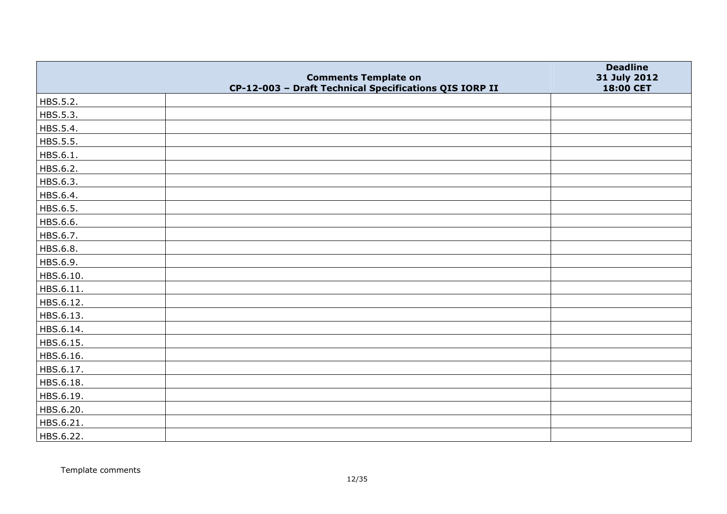|           |                                                                                       | <b>Deadline</b>           |
|-----------|---------------------------------------------------------------------------------------|---------------------------|
|           | <b>Comments Template on</b><br>CP-12-003 - Draft Technical Specifications QIS IORP II | 31 July 2012<br>18:00 CET |
| HBS.5.2.  |                                                                                       |                           |
| HBS.5.3.  |                                                                                       |                           |
| HBS.5.4.  |                                                                                       |                           |
| HBS.5.5.  |                                                                                       |                           |
| HBS.6.1.  |                                                                                       |                           |
| HBS.6.2.  |                                                                                       |                           |
| HBS.6.3.  |                                                                                       |                           |
| HBS.6.4.  |                                                                                       |                           |
| HBS.6.5.  |                                                                                       |                           |
| HBS.6.6.  |                                                                                       |                           |
| HBS.6.7.  |                                                                                       |                           |
| HBS.6.8.  |                                                                                       |                           |
| HBS.6.9.  |                                                                                       |                           |
| HBS.6.10. |                                                                                       |                           |
| HBS.6.11. |                                                                                       |                           |
| HBS.6.12. |                                                                                       |                           |
| HBS.6.13. |                                                                                       |                           |
| HBS.6.14. |                                                                                       |                           |
| HBS.6.15. |                                                                                       |                           |
| HBS.6.16. |                                                                                       |                           |
| HBS.6.17. |                                                                                       |                           |
| HBS.6.18. |                                                                                       |                           |
| HBS.6.19. |                                                                                       |                           |
| HBS.6.20. |                                                                                       |                           |
| HBS.6.21. |                                                                                       |                           |
| HBS.6.22. |                                                                                       |                           |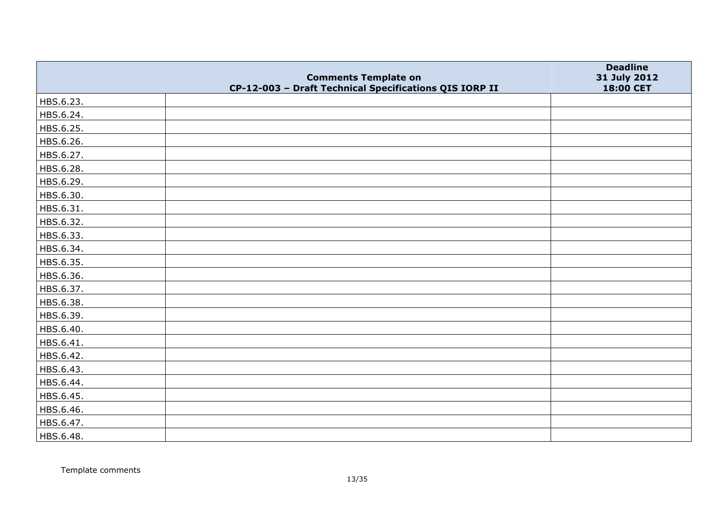|           | <b>Comments Template on</b>                            | <b>Deadline</b><br>31 July 2012 |
|-----------|--------------------------------------------------------|---------------------------------|
|           | CP-12-003 - Draft Technical Specifications QIS IORP II | 18:00 CET                       |
| HBS.6.23. |                                                        |                                 |
| HBS.6.24. |                                                        |                                 |
| HBS.6.25. |                                                        |                                 |
| HBS.6.26. |                                                        |                                 |
| HBS.6.27. |                                                        |                                 |
| HBS.6.28. |                                                        |                                 |
| HBS.6.29. |                                                        |                                 |
| HBS.6.30. |                                                        |                                 |
| HBS.6.31. |                                                        |                                 |
| HBS.6.32. |                                                        |                                 |
| HBS.6.33. |                                                        |                                 |
| HBS.6.34. |                                                        |                                 |
| HBS.6.35. |                                                        |                                 |
| HBS.6.36. |                                                        |                                 |
| HBS.6.37. |                                                        |                                 |
| HBS.6.38. |                                                        |                                 |
| HBS.6.39. |                                                        |                                 |
| HBS.6.40. |                                                        |                                 |
| HBS.6.41. |                                                        |                                 |
| HBS.6.42. |                                                        |                                 |
| HBS.6.43. |                                                        |                                 |
| HBS.6.44. |                                                        |                                 |
| HBS.6.45. |                                                        |                                 |
| HBS.6.46. |                                                        |                                 |
| HBS.6.47. |                                                        |                                 |
| HBS.6.48. |                                                        |                                 |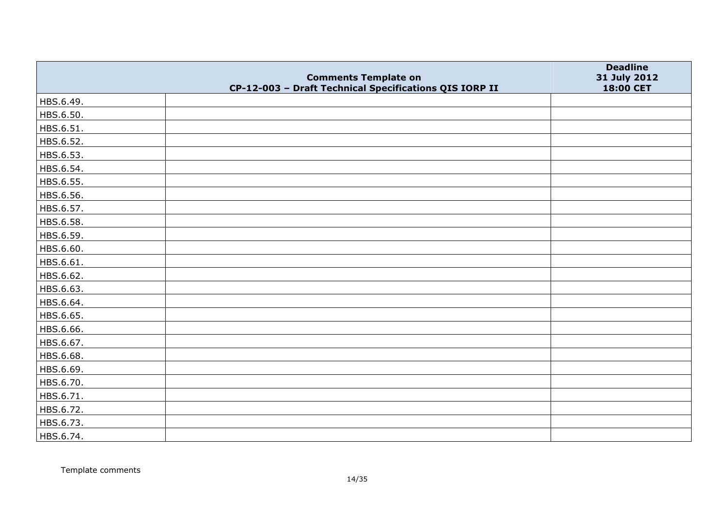|           | <b>Comments Template on</b>                            | <b>Deadline</b><br>31 July 2012 |
|-----------|--------------------------------------------------------|---------------------------------|
|           | CP-12-003 - Draft Technical Specifications QIS IORP II | 18:00 CET                       |
| HBS.6.49. |                                                        |                                 |
| HBS.6.50. |                                                        |                                 |
| HBS.6.51. |                                                        |                                 |
| HBS.6.52. |                                                        |                                 |
| HBS.6.53. |                                                        |                                 |
| HBS.6.54. |                                                        |                                 |
| HBS.6.55. |                                                        |                                 |
| HBS.6.56. |                                                        |                                 |
| HBS.6.57. |                                                        |                                 |
| HBS.6.58. |                                                        |                                 |
| HBS.6.59. |                                                        |                                 |
| HBS.6.60. |                                                        |                                 |
| HBS.6.61. |                                                        |                                 |
| HBS.6.62. |                                                        |                                 |
| HBS.6.63. |                                                        |                                 |
| HBS.6.64. |                                                        |                                 |
| HBS.6.65. |                                                        |                                 |
| HBS.6.66. |                                                        |                                 |
| HBS.6.67. |                                                        |                                 |
| HBS.6.68. |                                                        |                                 |
| HBS.6.69. |                                                        |                                 |
| HBS.6.70. |                                                        |                                 |
| HBS.6.71. |                                                        |                                 |
| HBS.6.72. |                                                        |                                 |
| HBS.6.73. |                                                        |                                 |
| HBS.6.74. |                                                        |                                 |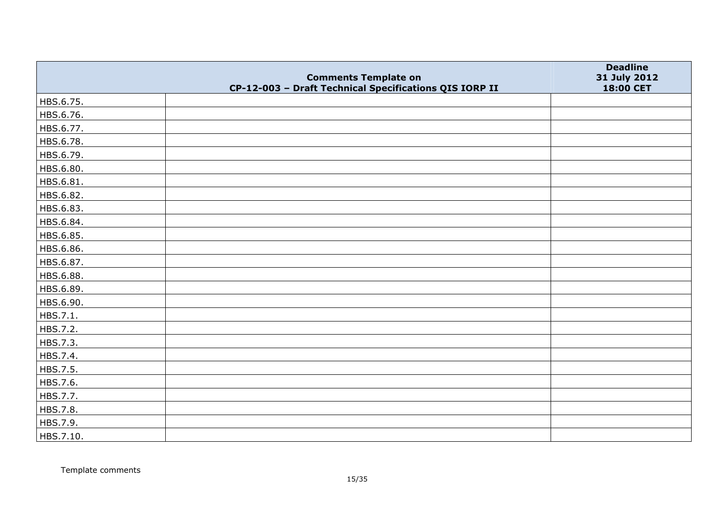|           | <b>Comments Template on</b>                            | <b>Deadline</b><br>31 July 2012 |
|-----------|--------------------------------------------------------|---------------------------------|
|           | CP-12-003 - Draft Technical Specifications QIS IORP II | 18:00 CET                       |
| HBS.6.75. |                                                        |                                 |
| HBS.6.76. |                                                        |                                 |
| HBS.6.77. |                                                        |                                 |
| HBS.6.78. |                                                        |                                 |
| HBS.6.79. |                                                        |                                 |
| HBS.6.80. |                                                        |                                 |
| HBS.6.81. |                                                        |                                 |
| HBS.6.82. |                                                        |                                 |
| HBS.6.83. |                                                        |                                 |
| HBS.6.84. |                                                        |                                 |
| HBS.6.85. |                                                        |                                 |
| HBS.6.86. |                                                        |                                 |
| HBS.6.87. |                                                        |                                 |
| HBS.6.88. |                                                        |                                 |
| HBS.6.89. |                                                        |                                 |
| HBS.6.90. |                                                        |                                 |
| HBS.7.1.  |                                                        |                                 |
| HBS.7.2.  |                                                        |                                 |
| HBS.7.3.  |                                                        |                                 |
| HBS.7.4.  |                                                        |                                 |
| HBS.7.5.  |                                                        |                                 |
| HBS.7.6.  |                                                        |                                 |
| HBS.7.7.  |                                                        |                                 |
| HBS.7.8.  |                                                        |                                 |
| HBS.7.9.  |                                                        |                                 |
| HBS.7.10. |                                                        |                                 |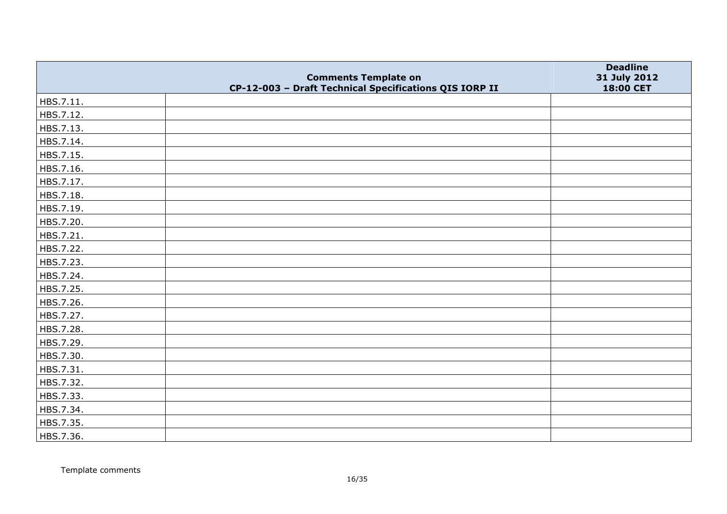|           | <b>Comments Template on</b>                            | <b>Deadline</b><br>31 July 2012 |
|-----------|--------------------------------------------------------|---------------------------------|
|           | CP-12-003 - Draft Technical Specifications QIS IORP II | 18:00 CET                       |
| HBS.7.11. |                                                        |                                 |
| HBS.7.12. |                                                        |                                 |
| HBS.7.13. |                                                        |                                 |
| HBS.7.14. |                                                        |                                 |
| HBS.7.15. |                                                        |                                 |
| HBS.7.16. |                                                        |                                 |
| HBS.7.17. |                                                        |                                 |
| HBS.7.18. |                                                        |                                 |
| HBS.7.19. |                                                        |                                 |
| HBS.7.20. |                                                        |                                 |
| HBS.7.21. |                                                        |                                 |
| HBS.7.22. |                                                        |                                 |
| HBS.7.23. |                                                        |                                 |
| HBS.7.24. |                                                        |                                 |
| HBS.7.25. |                                                        |                                 |
| HBS.7.26. |                                                        |                                 |
| HBS.7.27. |                                                        |                                 |
| HBS.7.28. |                                                        |                                 |
| HBS.7.29. |                                                        |                                 |
| HBS.7.30. |                                                        |                                 |
| HBS.7.31. |                                                        |                                 |
| HBS.7.32. |                                                        |                                 |
| HBS.7.33. |                                                        |                                 |
| HBS.7.34. |                                                        |                                 |
| HBS.7.35. |                                                        |                                 |
| HBS.7.36. |                                                        |                                 |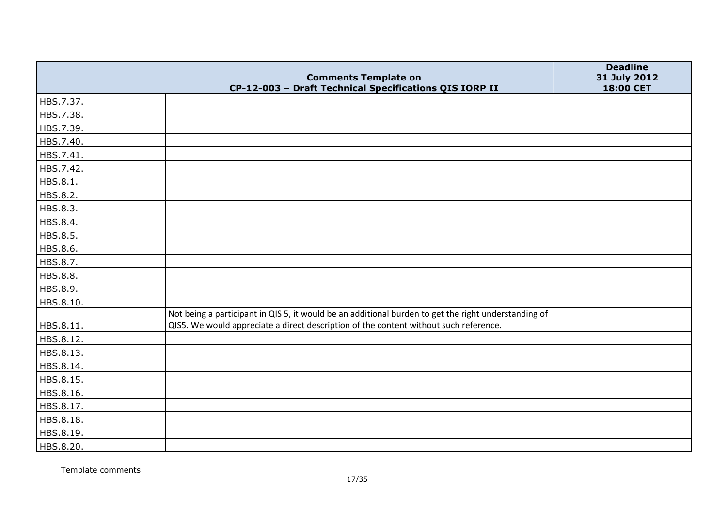|           | <b>Comments Template on</b>                                                                          | <b>Deadline</b><br>31 July 2012 |
|-----------|------------------------------------------------------------------------------------------------------|---------------------------------|
|           | CP-12-003 - Draft Technical Specifications QIS IORP II                                               | 18:00 CET                       |
| HBS.7.37. |                                                                                                      |                                 |
| HBS.7.38. |                                                                                                      |                                 |
| HBS.7.39. |                                                                                                      |                                 |
| HBS.7.40. |                                                                                                      |                                 |
| HBS.7.41. |                                                                                                      |                                 |
| HBS.7.42. |                                                                                                      |                                 |
| HBS.8.1.  |                                                                                                      |                                 |
| HBS.8.2.  |                                                                                                      |                                 |
| HBS.8.3.  |                                                                                                      |                                 |
| HBS.8.4.  |                                                                                                      |                                 |
| HBS.8.5.  |                                                                                                      |                                 |
| HBS.8.6.  |                                                                                                      |                                 |
| HBS.8.7.  |                                                                                                      |                                 |
| HBS.8.8.  |                                                                                                      |                                 |
| HBS.8.9.  |                                                                                                      |                                 |
| HBS.8.10. |                                                                                                      |                                 |
|           | Not being a participant in QIS 5, it would be an additional burden to get the right understanding of |                                 |
| HBS.8.11. | QIS5. We would appreciate a direct description of the content without such reference.                |                                 |
| HBS.8.12. |                                                                                                      |                                 |
| HBS.8.13. |                                                                                                      |                                 |
| HBS.8.14. |                                                                                                      |                                 |
| HBS.8.15. |                                                                                                      |                                 |
| HBS.8.16. |                                                                                                      |                                 |
| HBS.8.17. |                                                                                                      |                                 |
| HBS.8.18. |                                                                                                      |                                 |
| HBS.8.19. |                                                                                                      |                                 |
| HBS.8.20. |                                                                                                      |                                 |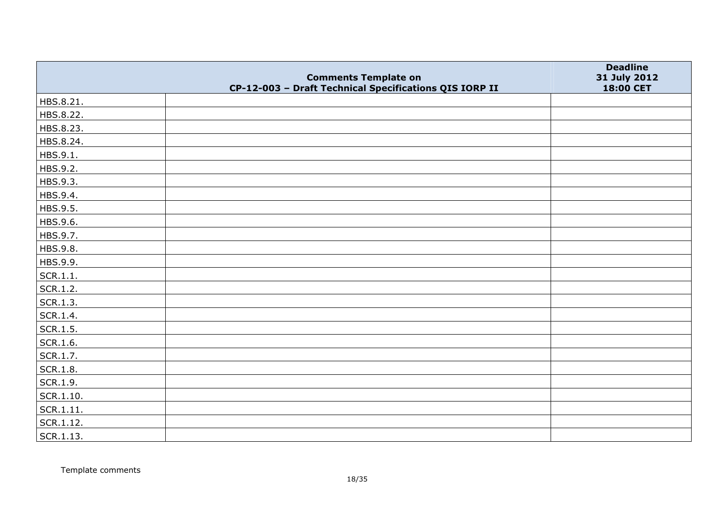|                   | <b>Comments Template on</b>                            | <b>Deadline</b><br>31 July 2012 |
|-------------------|--------------------------------------------------------|---------------------------------|
|                   | CP-12-003 - Draft Technical Specifications QIS IORP II | 18:00 CET                       |
| HBS.8.21.         |                                                        |                                 |
| HBS.8.22.         |                                                        |                                 |
| HBS.8.23.         |                                                        |                                 |
| HBS.8.24.         |                                                        |                                 |
| HBS.9.1.          |                                                        |                                 |
| HBS.9.2.          |                                                        |                                 |
| HBS.9.3.          |                                                        |                                 |
| HBS.9.4.          |                                                        |                                 |
| HBS.9.5.          |                                                        |                                 |
| HBS.9.6.          |                                                        |                                 |
| HBS.9.7.          |                                                        |                                 |
| HBS.9.8.          |                                                        |                                 |
| HBS.9.9.          |                                                        |                                 |
| SCR.1.1.          |                                                        |                                 |
| SCR.1.2.          |                                                        |                                 |
| SCR.1.3.          |                                                        |                                 |
| SCR.1.4.          |                                                        |                                 |
| $\vert$ SCR.1.5.  |                                                        |                                 |
| SCR.1.6.          |                                                        |                                 |
| SCR.1.7.          |                                                        |                                 |
| SCR.1.8.          |                                                        |                                 |
| SCR.1.9.          |                                                        |                                 |
| $\vert$ SCR.1.10. |                                                        |                                 |
| SCR.1.11.         |                                                        |                                 |
| $ $ SCR.1.12.     |                                                        |                                 |
| SCR.1.13.         |                                                        |                                 |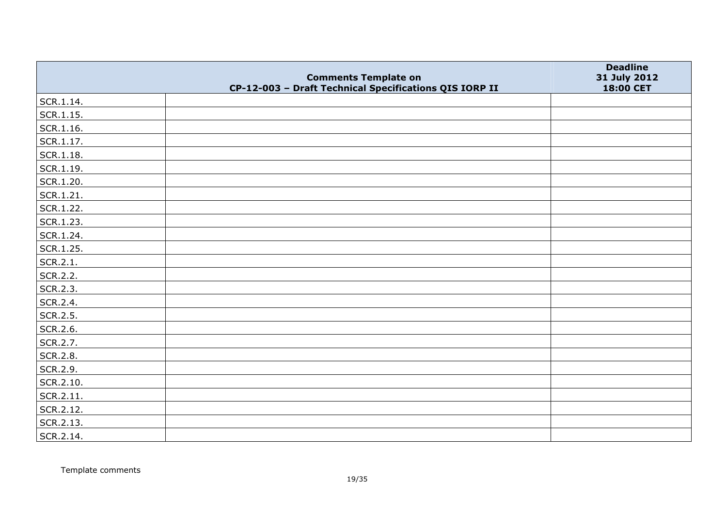|                   |                                                                                       | <b>Deadline</b>           |
|-------------------|---------------------------------------------------------------------------------------|---------------------------|
|                   | <b>Comments Template on</b><br>CP-12-003 - Draft Technical Specifications QIS IORP II | 31 July 2012<br>18:00 CET |
| SCR.1.14.         |                                                                                       |                           |
| SCR.1.15.         |                                                                                       |                           |
| $\vert$ SCR.1.16. |                                                                                       |                           |
| SCR.1.17.         |                                                                                       |                           |
| $ $ SCR.1.18.     |                                                                                       |                           |
| $ $ SCR.1.19.     |                                                                                       |                           |
| SCR.1.20.         |                                                                                       |                           |
| $ $ SCR.1.21.     |                                                                                       |                           |
| SCR.1.22.         |                                                                                       |                           |
| SCR.1.23.         |                                                                                       |                           |
| SCR.1.24.         |                                                                                       |                           |
| SCR.1.25.         |                                                                                       |                           |
| SCR.2.1.          |                                                                                       |                           |
| SCR.2.2.          |                                                                                       |                           |
| SCR.2.3.          |                                                                                       |                           |
| SCR.2.4.          |                                                                                       |                           |
| SCR.2.5.          |                                                                                       |                           |
| SCR.2.6.          |                                                                                       |                           |
| SCR.2.7.          |                                                                                       |                           |
| SCR.2.8.          |                                                                                       |                           |
| SCR.2.9.          |                                                                                       |                           |
| SCR.2.10.         |                                                                                       |                           |
| SCR.2.11.         |                                                                                       |                           |
| SCR.2.12.         |                                                                                       |                           |
| SCR.2.13.         |                                                                                       |                           |
| SCR.2.14.         |                                                                                       |                           |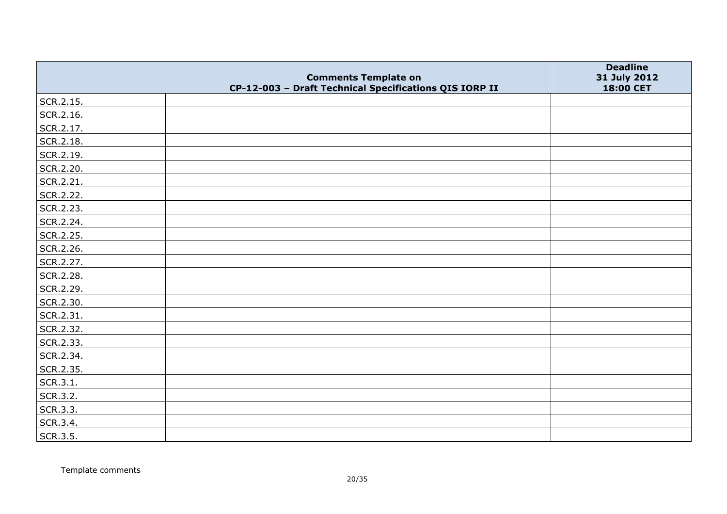|           | <b>Comments Template on</b>                            | <b>Deadline</b><br>31 July 2012 |
|-----------|--------------------------------------------------------|---------------------------------|
|           | CP-12-003 - Draft Technical Specifications QIS IORP II | 18:00 CET                       |
| SCR.2.15. |                                                        |                                 |
| SCR.2.16. |                                                        |                                 |
| SCR.2.17. |                                                        |                                 |
| SCR.2.18. |                                                        |                                 |
| SCR.2.19. |                                                        |                                 |
| SCR.2.20. |                                                        |                                 |
| SCR.2.21. |                                                        |                                 |
| SCR.2.22. |                                                        |                                 |
| SCR.2.23. |                                                        |                                 |
| SCR.2.24. |                                                        |                                 |
| SCR.2.25. |                                                        |                                 |
| SCR.2.26. |                                                        |                                 |
| SCR.2.27. |                                                        |                                 |
| SCR.2.28. |                                                        |                                 |
| SCR.2.29. |                                                        |                                 |
| SCR.2.30. |                                                        |                                 |
| SCR.2.31. |                                                        |                                 |
| SCR.2.32. |                                                        |                                 |
| SCR.2.33. |                                                        |                                 |
| SCR.2.34. |                                                        |                                 |
| SCR.2.35. |                                                        |                                 |
| SCR.3.1.  |                                                        |                                 |
| SCR.3.2.  |                                                        |                                 |
| SCR.3.3.  |                                                        |                                 |
| SCR.3.4.  |                                                        |                                 |
| SCR.3.5.  |                                                        |                                 |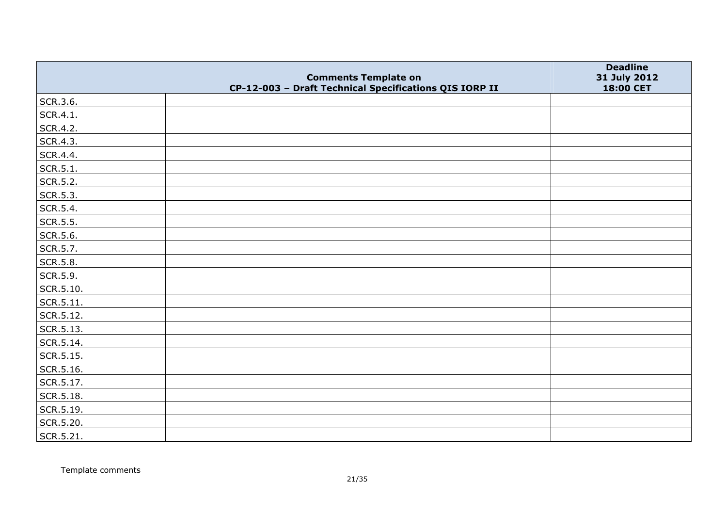|                   |                                                                                       | <b>Deadline</b>           |
|-------------------|---------------------------------------------------------------------------------------|---------------------------|
|                   | <b>Comments Template on</b><br>CP-12-003 - Draft Technical Specifications QIS IORP II | 31 July 2012<br>18:00 CET |
| SCR.3.6.          |                                                                                       |                           |
| SCR.4.1.          |                                                                                       |                           |
| SCR.4.2.          |                                                                                       |                           |
| SCR.4.3.          |                                                                                       |                           |
| SCR.4.4.          |                                                                                       |                           |
| SCR.5.1.          |                                                                                       |                           |
| SCR.5.2.          |                                                                                       |                           |
| SCR.5.3.          |                                                                                       |                           |
| SCR.5.4.          |                                                                                       |                           |
| SCR.5.5.          |                                                                                       |                           |
| SCR.5.6.          |                                                                                       |                           |
| SCR.5.7.          |                                                                                       |                           |
| SCR.5.8.          |                                                                                       |                           |
| SCR.5.9.          |                                                                                       |                           |
| SCR.5.10.         |                                                                                       |                           |
| SCR.5.11.         |                                                                                       |                           |
| SCR.5.12.         |                                                                                       |                           |
| $\vert$ SCR.5.13. |                                                                                       |                           |
| $ $ SCR.5.14.     |                                                                                       |                           |
| SCR.5.15.         |                                                                                       |                           |
| SCR.5.16.         |                                                                                       |                           |
| SCR.5.17.         |                                                                                       |                           |
| SCR.5.18.         |                                                                                       |                           |
| SCR.5.19.         |                                                                                       |                           |
| SCR.5.20.         |                                                                                       |                           |
| SCR.5.21.         |                                                                                       |                           |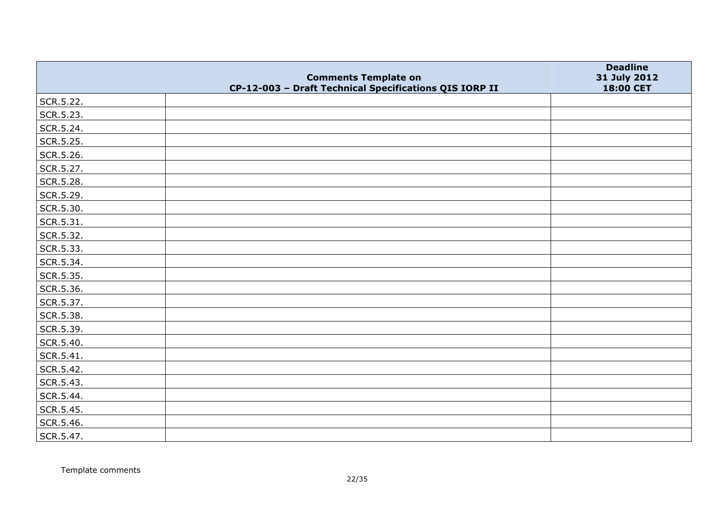|           | <b>Comments Template on</b>                            | <b>Deadline</b><br>31 July 2012 |
|-----------|--------------------------------------------------------|---------------------------------|
|           | CP-12-003 - Draft Technical Specifications QIS IORP II | 18:00 CET                       |
| SCR.5.22. |                                                        |                                 |
| SCR.5.23. |                                                        |                                 |
| SCR.5.24. |                                                        |                                 |
| SCR.5.25. |                                                        |                                 |
| SCR.5.26. |                                                        |                                 |
| SCR.5.27. |                                                        |                                 |
| SCR.5.28. |                                                        |                                 |
| SCR.5.29. |                                                        |                                 |
| SCR.5.30. |                                                        |                                 |
| SCR.5.31. |                                                        |                                 |
| SCR.5.32. |                                                        |                                 |
| SCR.5.33. |                                                        |                                 |
| SCR.5.34. |                                                        |                                 |
| SCR.5.35. |                                                        |                                 |
| SCR.5.36. |                                                        |                                 |
| SCR.5.37. |                                                        |                                 |
| SCR.5.38. |                                                        |                                 |
| SCR.5.39. |                                                        |                                 |
| SCR.5.40. |                                                        |                                 |
| SCR.5.41. |                                                        |                                 |
| SCR.5.42. |                                                        |                                 |
| SCR.5.43. |                                                        |                                 |
| SCR.5.44. |                                                        |                                 |
| SCR.5.45. |                                                        |                                 |
| SCR.5.46. |                                                        |                                 |
| SCR.5.47. |                                                        |                                 |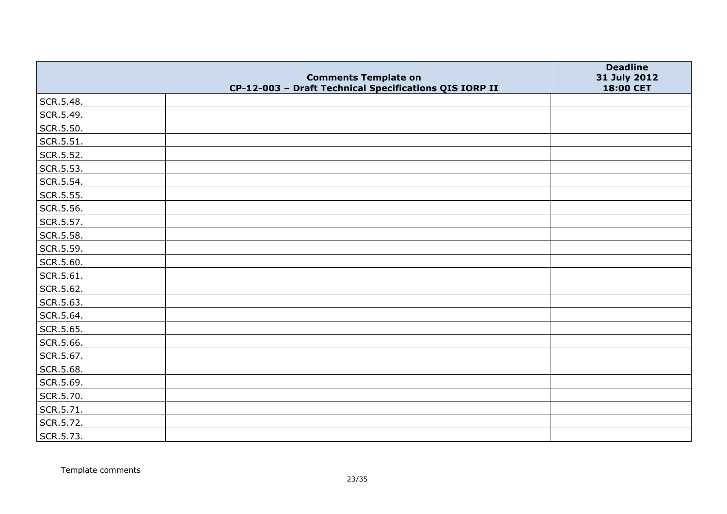|           | <b>Comments Template on</b>                            | <b>Deadline</b><br>31 July 2012 |
|-----------|--------------------------------------------------------|---------------------------------|
|           | CP-12-003 - Draft Technical Specifications QIS IORP II | 18:00 CET                       |
| SCR.5.48. |                                                        |                                 |
| SCR.5.49. |                                                        |                                 |
| SCR.5.50. |                                                        |                                 |
| SCR.5.51. |                                                        |                                 |
| SCR.5.52. |                                                        |                                 |
| SCR.5.53. |                                                        |                                 |
| SCR.5.54. |                                                        |                                 |
| SCR.5.55. |                                                        |                                 |
| SCR.5.56. |                                                        |                                 |
| SCR.5.57. |                                                        |                                 |
| SCR.5.58. |                                                        |                                 |
| SCR.5.59. |                                                        |                                 |
| SCR.5.60. |                                                        |                                 |
| SCR.5.61. |                                                        |                                 |
| SCR.5.62. |                                                        |                                 |
| SCR.5.63. |                                                        |                                 |
| SCR.5.64. |                                                        |                                 |
| SCR.5.65. |                                                        |                                 |
| SCR.5.66. |                                                        |                                 |
| SCR.5.67. |                                                        |                                 |
| SCR.5.68. |                                                        |                                 |
| SCR.5.69. |                                                        |                                 |
| SCR.5.70. |                                                        |                                 |
| SCR.5.71. |                                                        |                                 |
| SCR.5.72. |                                                        |                                 |
| SCR.5.73. |                                                        |                                 |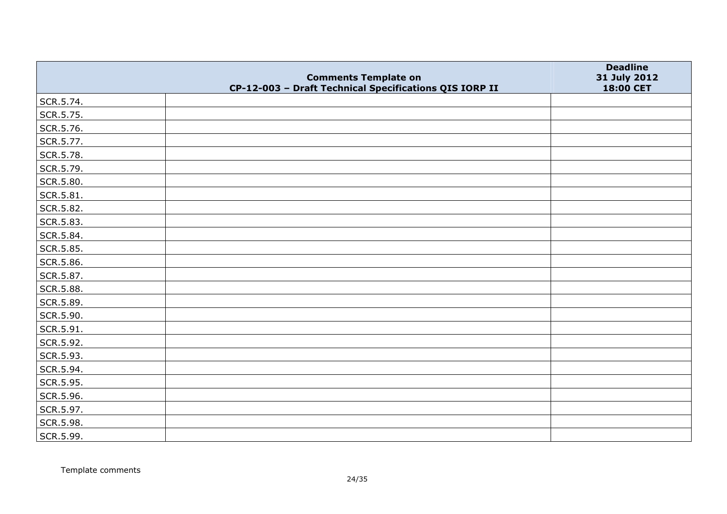|           | <b>Comments Template on</b>                            | <b>Deadline</b><br>31 July 2012 |
|-----------|--------------------------------------------------------|---------------------------------|
|           | CP-12-003 - Draft Technical Specifications QIS IORP II | 18:00 CET                       |
| SCR.5.74. |                                                        |                                 |
| SCR.5.75. |                                                        |                                 |
| SCR.5.76. |                                                        |                                 |
| SCR.5.77. |                                                        |                                 |
| SCR.5.78. |                                                        |                                 |
| SCR.5.79. |                                                        |                                 |
| SCR.5.80. |                                                        |                                 |
| SCR.5.81. |                                                        |                                 |
| SCR.5.82. |                                                        |                                 |
| SCR.5.83. |                                                        |                                 |
| SCR.5.84. |                                                        |                                 |
| SCR.5.85. |                                                        |                                 |
| SCR.5.86. |                                                        |                                 |
| SCR.5.87. |                                                        |                                 |
| SCR.5.88. |                                                        |                                 |
| SCR.5.89. |                                                        |                                 |
| SCR.5.90. |                                                        |                                 |
| SCR.5.91. |                                                        |                                 |
| SCR.5.92. |                                                        |                                 |
| SCR.5.93. |                                                        |                                 |
| SCR.5.94. |                                                        |                                 |
| SCR.5.95. |                                                        |                                 |
| SCR.5.96. |                                                        |                                 |
| SCR.5.97. |                                                        |                                 |
| SCR.5.98. |                                                        |                                 |
| SCR.5.99. |                                                        |                                 |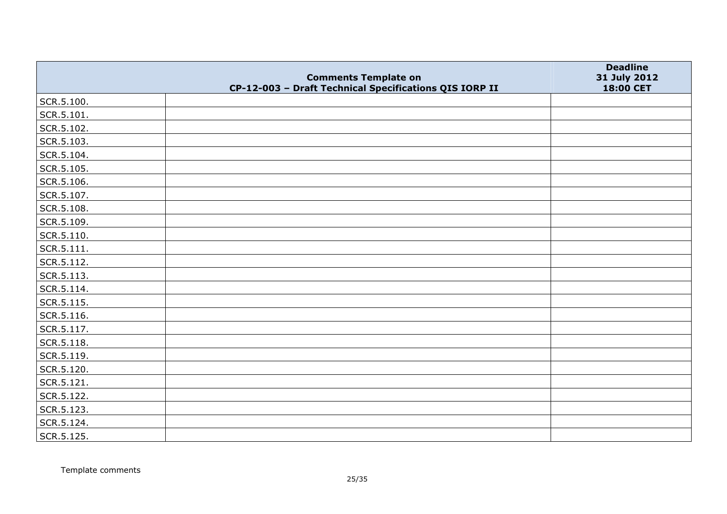|            | <b>Comments Template on</b>                            | <b>Deadline</b><br>31 July 2012 |
|------------|--------------------------------------------------------|---------------------------------|
|            | CP-12-003 - Draft Technical Specifications QIS IORP II | 18:00 CET                       |
| SCR.5.100. |                                                        |                                 |
| SCR.5.101. |                                                        |                                 |
| SCR.5.102. |                                                        |                                 |
| SCR.5.103. |                                                        |                                 |
| SCR.5.104. |                                                        |                                 |
| SCR.5.105. |                                                        |                                 |
| SCR.5.106. |                                                        |                                 |
| SCR.5.107. |                                                        |                                 |
| SCR.5.108. |                                                        |                                 |
| SCR.5.109. |                                                        |                                 |
| SCR.5.110. |                                                        |                                 |
| SCR.5.111. |                                                        |                                 |
| SCR.5.112. |                                                        |                                 |
| SCR.5.113. |                                                        |                                 |
| SCR.5.114. |                                                        |                                 |
| SCR.5.115. |                                                        |                                 |
| SCR.5.116. |                                                        |                                 |
| SCR.5.117. |                                                        |                                 |
| SCR.5.118. |                                                        |                                 |
| SCR.5.119. |                                                        |                                 |
| SCR.5.120. |                                                        |                                 |
| SCR.5.121. |                                                        |                                 |
| SCR.5.122. |                                                        |                                 |
| SCR.5.123. |                                                        |                                 |
| SCR.5.124. |                                                        |                                 |
| SCR.5.125. |                                                        |                                 |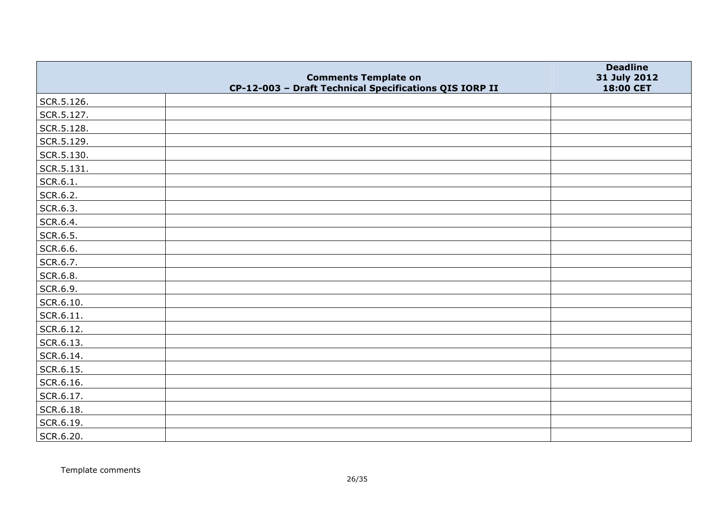|            | <b>Comments Template on</b>                            | <b>Deadline</b><br>31 July 2012 |
|------------|--------------------------------------------------------|---------------------------------|
|            | CP-12-003 - Draft Technical Specifications QIS IORP II | 18:00 CET                       |
| SCR.5.126. |                                                        |                                 |
| SCR.5.127. |                                                        |                                 |
| SCR.5.128. |                                                        |                                 |
| SCR.5.129. |                                                        |                                 |
| SCR.5.130. |                                                        |                                 |
| SCR.5.131. |                                                        |                                 |
| SCR.6.1.   |                                                        |                                 |
| SCR.6.2.   |                                                        |                                 |
| SCR.6.3.   |                                                        |                                 |
| SCR.6.4.   |                                                        |                                 |
| SCR.6.5.   |                                                        |                                 |
| SCR.6.6.   |                                                        |                                 |
| SCR.6.7.   |                                                        |                                 |
| SCR.6.8.   |                                                        |                                 |
| SCR.6.9.   |                                                        |                                 |
| SCR.6.10.  |                                                        |                                 |
| SCR.6.11.  |                                                        |                                 |
| SCR.6.12.  |                                                        |                                 |
| SCR.6.13.  |                                                        |                                 |
| SCR.6.14.  |                                                        |                                 |
| SCR.6.15.  |                                                        |                                 |
| SCR.6.16.  |                                                        |                                 |
| SCR.6.17.  |                                                        |                                 |
| SCR.6.18.  |                                                        |                                 |
| SCR.6.19.  |                                                        |                                 |
| SCR.6.20.  |                                                        |                                 |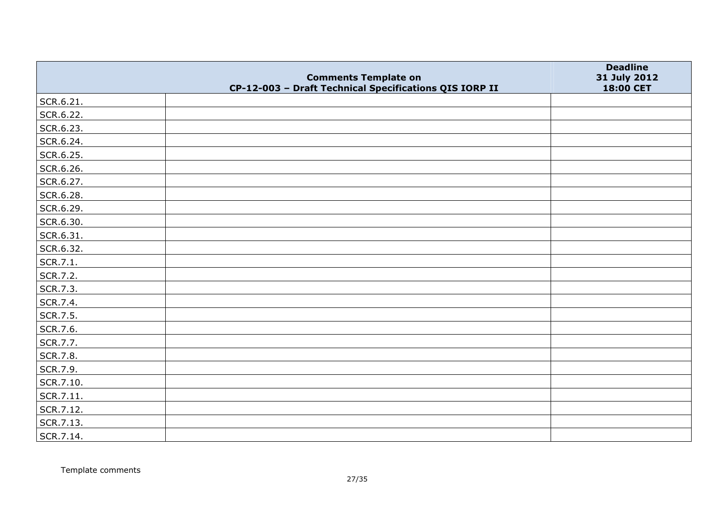|           |                                                                                       | <b>Deadline</b>           |
|-----------|---------------------------------------------------------------------------------------|---------------------------|
|           | <b>Comments Template on</b><br>CP-12-003 - Draft Technical Specifications QIS IORP II | 31 July 2012<br>18:00 CET |
| SCR.6.21. |                                                                                       |                           |
| SCR.6.22. |                                                                                       |                           |
| SCR.6.23. |                                                                                       |                           |
| SCR.6.24. |                                                                                       |                           |
| SCR.6.25. |                                                                                       |                           |
| SCR.6.26. |                                                                                       |                           |
| SCR.6.27. |                                                                                       |                           |
| SCR.6.28. |                                                                                       |                           |
| SCR.6.29. |                                                                                       |                           |
| SCR.6.30. |                                                                                       |                           |
| SCR.6.31. |                                                                                       |                           |
| SCR.6.32. |                                                                                       |                           |
| SCR.7.1.  |                                                                                       |                           |
| SCR.7.2.  |                                                                                       |                           |
| SCR.7.3.  |                                                                                       |                           |
| SCR.7.4.  |                                                                                       |                           |
| SCR.7.5.  |                                                                                       |                           |
| SCR.7.6.  |                                                                                       |                           |
| SCR.7.7.  |                                                                                       |                           |
| SCR.7.8.  |                                                                                       |                           |
| SCR.7.9.  |                                                                                       |                           |
| SCR.7.10. |                                                                                       |                           |
| SCR.7.11. |                                                                                       |                           |
| SCR.7.12. |                                                                                       |                           |
| SCR.7.13. |                                                                                       |                           |
| SCR.7.14. |                                                                                       |                           |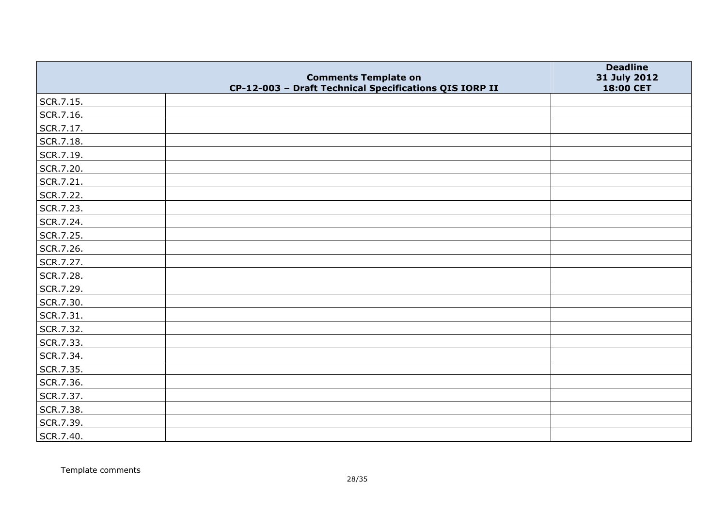|           | <b>Comments Template on</b>                            | <b>Deadline</b><br>31 July 2012 |
|-----------|--------------------------------------------------------|---------------------------------|
|           | CP-12-003 - Draft Technical Specifications QIS IORP II | 18:00 CET                       |
| SCR.7.15. |                                                        |                                 |
| SCR.7.16. |                                                        |                                 |
| SCR.7.17. |                                                        |                                 |
| SCR.7.18. |                                                        |                                 |
| SCR.7.19. |                                                        |                                 |
| SCR.7.20. |                                                        |                                 |
| SCR.7.21. |                                                        |                                 |
| SCR.7.22. |                                                        |                                 |
| SCR.7.23. |                                                        |                                 |
| SCR.7.24. |                                                        |                                 |
| SCR.7.25. |                                                        |                                 |
| SCR.7.26. |                                                        |                                 |
| SCR.7.27. |                                                        |                                 |
| SCR.7.28. |                                                        |                                 |
| SCR.7.29. |                                                        |                                 |
| SCR.7.30. |                                                        |                                 |
| SCR.7.31. |                                                        |                                 |
| SCR.7.32. |                                                        |                                 |
| SCR.7.33. |                                                        |                                 |
| SCR.7.34. |                                                        |                                 |
| SCR.7.35. |                                                        |                                 |
| SCR.7.36. |                                                        |                                 |
| SCR.7.37. |                                                        |                                 |
| SCR.7.38. |                                                        |                                 |
| SCR.7.39. |                                                        |                                 |
| SCR.7.40. |                                                        |                                 |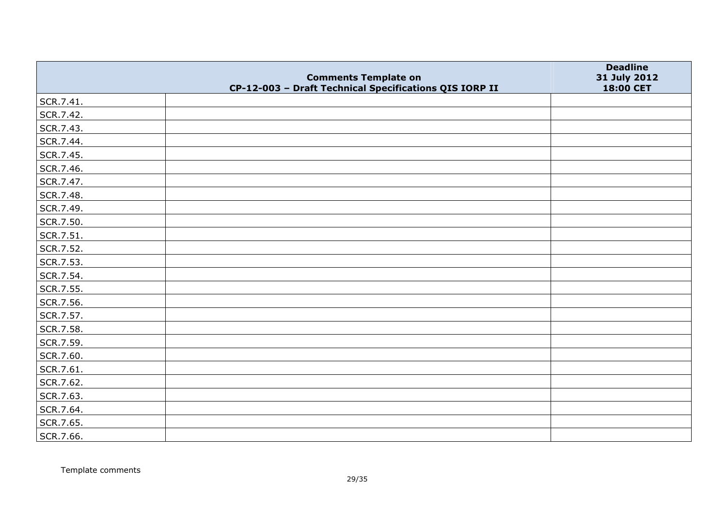|           | <b>Comments Template on</b>                            | <b>Deadline</b><br>31 July 2012 |
|-----------|--------------------------------------------------------|---------------------------------|
|           | CP-12-003 - Draft Technical Specifications QIS IORP II | 18:00 CET                       |
| SCR.7.41. |                                                        |                                 |
| SCR.7.42. |                                                        |                                 |
| SCR.7.43. |                                                        |                                 |
| SCR.7.44. |                                                        |                                 |
| SCR.7.45. |                                                        |                                 |
| SCR.7.46. |                                                        |                                 |
| SCR.7.47. |                                                        |                                 |
| SCR.7.48. |                                                        |                                 |
| SCR.7.49. |                                                        |                                 |
| SCR.7.50. |                                                        |                                 |
| SCR.7.51. |                                                        |                                 |
| SCR.7.52. |                                                        |                                 |
| SCR.7.53. |                                                        |                                 |
| SCR.7.54. |                                                        |                                 |
| SCR.7.55. |                                                        |                                 |
| SCR.7.56. |                                                        |                                 |
| SCR.7.57. |                                                        |                                 |
| SCR.7.58. |                                                        |                                 |
| SCR.7.59. |                                                        |                                 |
| SCR.7.60. |                                                        |                                 |
| SCR.7.61. |                                                        |                                 |
| SCR.7.62. |                                                        |                                 |
| SCR.7.63. |                                                        |                                 |
| SCR.7.64. |                                                        |                                 |
| SCR.7.65. |                                                        |                                 |
| SCR.7.66. |                                                        |                                 |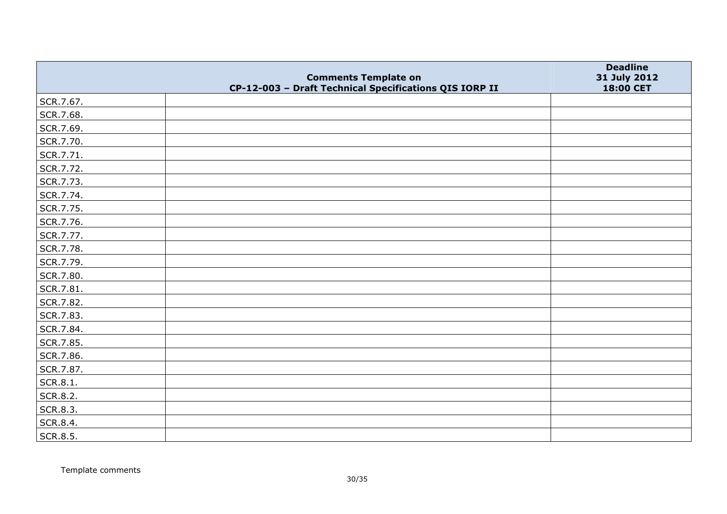|           |                                                                                       | <b>Deadline</b>           |
|-----------|---------------------------------------------------------------------------------------|---------------------------|
|           | <b>Comments Template on</b><br>CP-12-003 - Draft Technical Specifications QIS IORP II | 31 July 2012<br>18:00 CET |
| SCR.7.67. |                                                                                       |                           |
| SCR.7.68. |                                                                                       |                           |
| SCR.7.69. |                                                                                       |                           |
| SCR.7.70. |                                                                                       |                           |
| SCR.7.71. |                                                                                       |                           |
| SCR.7.72. |                                                                                       |                           |
| SCR.7.73. |                                                                                       |                           |
| SCR.7.74. |                                                                                       |                           |
| SCR.7.75. |                                                                                       |                           |
| SCR.7.76. |                                                                                       |                           |
| SCR.7.77. |                                                                                       |                           |
| SCR.7.78. |                                                                                       |                           |
| SCR.7.79. |                                                                                       |                           |
| SCR.7.80. |                                                                                       |                           |
| SCR.7.81. |                                                                                       |                           |
| SCR.7.82. |                                                                                       |                           |
| SCR.7.83. |                                                                                       |                           |
| SCR.7.84. |                                                                                       |                           |
| SCR.7.85. |                                                                                       |                           |
| SCR.7.86. |                                                                                       |                           |
| SCR.7.87. |                                                                                       |                           |
| SCR.8.1.  |                                                                                       |                           |
| SCR.8.2.  |                                                                                       |                           |
| SCR.8.3.  |                                                                                       |                           |
| SCR.8.4.  |                                                                                       |                           |
| SCR.8.5.  |                                                                                       |                           |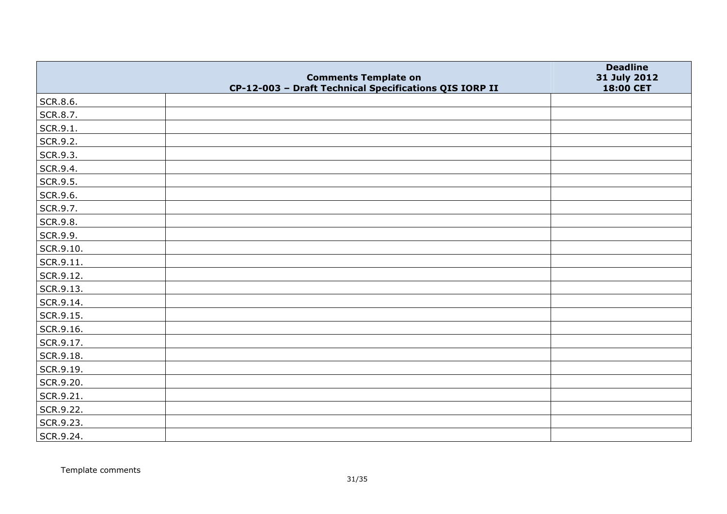|           |                                                                                       | <b>Deadline</b>           |
|-----------|---------------------------------------------------------------------------------------|---------------------------|
|           | <b>Comments Template on</b><br>CP-12-003 - Draft Technical Specifications QIS IORP II | 31 July 2012<br>18:00 CET |
| SCR.8.6.  |                                                                                       |                           |
| SCR.8.7.  |                                                                                       |                           |
| SCR.9.1.  |                                                                                       |                           |
| SCR.9.2.  |                                                                                       |                           |
| SCR.9.3.  |                                                                                       |                           |
| SCR.9.4.  |                                                                                       |                           |
| SCR.9.5.  |                                                                                       |                           |
| SCR.9.6.  |                                                                                       |                           |
| SCR.9.7.  |                                                                                       |                           |
| SCR.9.8.  |                                                                                       |                           |
| SCR.9.9.  |                                                                                       |                           |
| SCR.9.10. |                                                                                       |                           |
| SCR.9.11. |                                                                                       |                           |
| SCR.9.12. |                                                                                       |                           |
| SCR.9.13. |                                                                                       |                           |
| SCR.9.14. |                                                                                       |                           |
| SCR.9.15. |                                                                                       |                           |
| SCR.9.16. |                                                                                       |                           |
| SCR.9.17. |                                                                                       |                           |
| SCR.9.18. |                                                                                       |                           |
| SCR.9.19. |                                                                                       |                           |
| SCR.9.20. |                                                                                       |                           |
| SCR.9.21. |                                                                                       |                           |
| SCR.9.22. |                                                                                       |                           |
| SCR.9.23. |                                                                                       |                           |
| SCR.9.24. |                                                                                       |                           |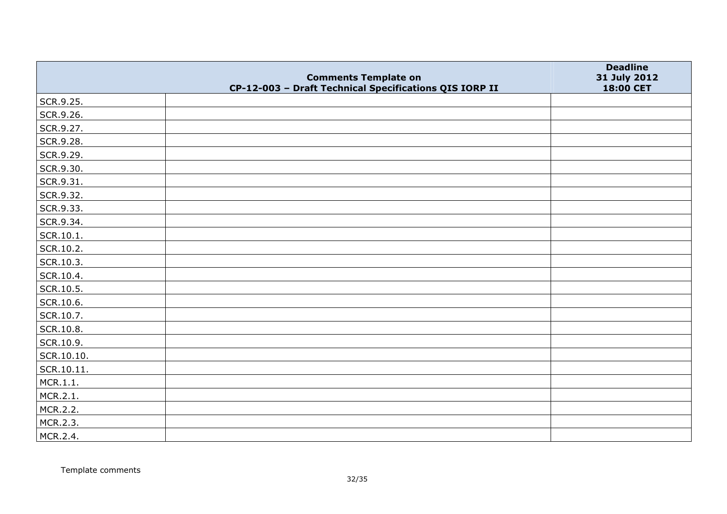|            |                                                                                       | <b>Deadline</b>           |
|------------|---------------------------------------------------------------------------------------|---------------------------|
|            | <b>Comments Template on</b><br>CP-12-003 - Draft Technical Specifications QIS IORP II | 31 July 2012<br>18:00 CET |
| SCR.9.25.  |                                                                                       |                           |
| SCR.9.26.  |                                                                                       |                           |
| SCR.9.27.  |                                                                                       |                           |
| SCR.9.28.  |                                                                                       |                           |
| SCR.9.29.  |                                                                                       |                           |
| SCR.9.30.  |                                                                                       |                           |
| SCR.9.31.  |                                                                                       |                           |
| SCR.9.32.  |                                                                                       |                           |
| SCR.9.33.  |                                                                                       |                           |
| SCR.9.34.  |                                                                                       |                           |
| SCR.10.1.  |                                                                                       |                           |
| SCR.10.2.  |                                                                                       |                           |
| SCR.10.3.  |                                                                                       |                           |
| SCR.10.4.  |                                                                                       |                           |
| SCR.10.5.  |                                                                                       |                           |
| SCR.10.6.  |                                                                                       |                           |
| SCR.10.7.  |                                                                                       |                           |
| SCR.10.8.  |                                                                                       |                           |
| SCR.10.9.  |                                                                                       |                           |
| SCR.10.10. |                                                                                       |                           |
| SCR.10.11. |                                                                                       |                           |
| MCR.1.1.   |                                                                                       |                           |
| MCR.2.1.   |                                                                                       |                           |
| MCR.2.2.   |                                                                                       |                           |
| MCR.2.3.   |                                                                                       |                           |
| MCR.2.4.   |                                                                                       |                           |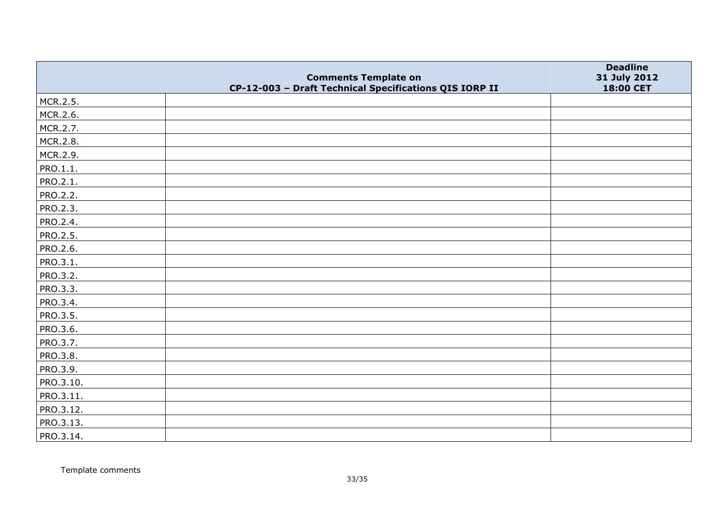|                 | <b>Comments Template on</b>                            | <b>Deadline</b><br>31 July 2012 |
|-----------------|--------------------------------------------------------|---------------------------------|
|                 | CP-12-003 - Draft Technical Specifications QIS IORP II | 18:00 CET                       |
| MCR.2.5.        |                                                        |                                 |
| MCR.2.6.        |                                                        |                                 |
| MCR.2.7.        |                                                        |                                 |
| MCR.2.8.        |                                                        |                                 |
| MCR.2.9.        |                                                        |                                 |
| PRO.1.1.        |                                                        |                                 |
| PRO.2.1.        |                                                        |                                 |
| PRO.2.2.        |                                                        |                                 |
| <b>PRO.2.3.</b> |                                                        |                                 |
| PRO.2.4.        |                                                        |                                 |
| PRO.2.5.        |                                                        |                                 |
| PRO.2.6.        |                                                        |                                 |
| PRO.3.1.        |                                                        |                                 |
| PRO.3.2.        |                                                        |                                 |
| PRO.3.3.        |                                                        |                                 |
| PRO.3.4.        |                                                        |                                 |
| PRO.3.5.        |                                                        |                                 |
| PRO.3.6.        |                                                        |                                 |
| PRO.3.7.        |                                                        |                                 |
| PRO.3.8.        |                                                        |                                 |
| PRO.3.9.        |                                                        |                                 |
| PRO.3.10.       |                                                        |                                 |
| PRO.3.11.       |                                                        |                                 |
| PRO.3.12.       |                                                        |                                 |
| PRO.3.13.       |                                                        |                                 |
| PRO.3.14.       |                                                        |                                 |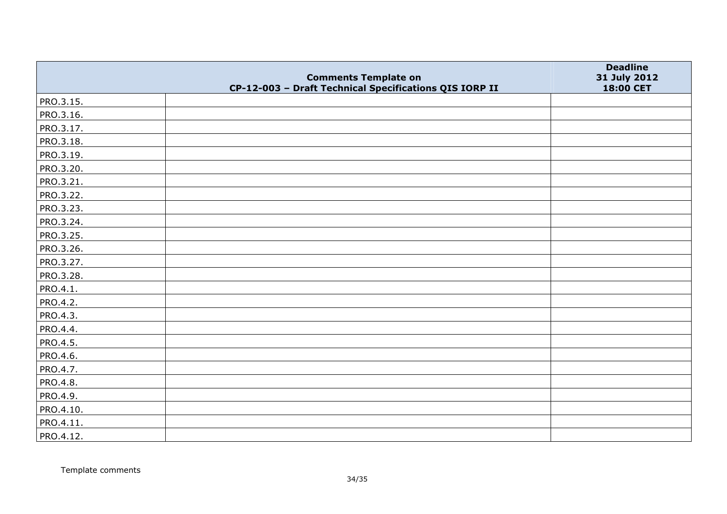|           |                                                                                       | <b>Deadline</b>           |
|-----------|---------------------------------------------------------------------------------------|---------------------------|
|           | <b>Comments Template on</b><br>CP-12-003 - Draft Technical Specifications QIS IORP II | 31 July 2012<br>18:00 CET |
| PRO.3.15. |                                                                                       |                           |
| PRO.3.16. |                                                                                       |                           |
| PRO.3.17. |                                                                                       |                           |
| PRO.3.18. |                                                                                       |                           |
| PRO.3.19. |                                                                                       |                           |
| PRO.3.20. |                                                                                       |                           |
| PRO.3.21. |                                                                                       |                           |
| PRO.3.22. |                                                                                       |                           |
| PRO.3.23. |                                                                                       |                           |
| PRO.3.24. |                                                                                       |                           |
| PRO.3.25. |                                                                                       |                           |
| PRO.3.26. |                                                                                       |                           |
| PRO.3.27. |                                                                                       |                           |
| PRO.3.28. |                                                                                       |                           |
| PRO.4.1.  |                                                                                       |                           |
| PRO.4.2.  |                                                                                       |                           |
| PRO.4.3.  |                                                                                       |                           |
| PRO.4.4.  |                                                                                       |                           |
| PRO.4.5.  |                                                                                       |                           |
| PRO.4.6.  |                                                                                       |                           |
| PRO.4.7.  |                                                                                       |                           |
| PRO.4.8.  |                                                                                       |                           |
| PRO.4.9.  |                                                                                       |                           |
| PRO.4.10. |                                                                                       |                           |
| PRO.4.11. |                                                                                       |                           |
| PRO.4.12. |                                                                                       |                           |